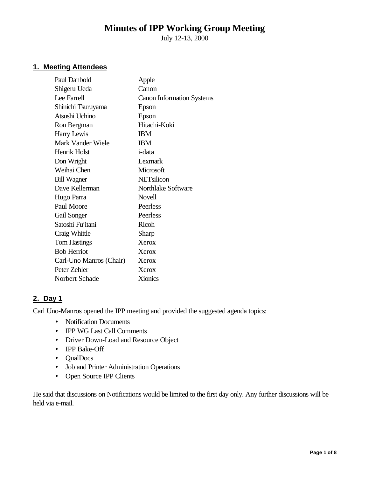# **Minutes of IPP Working Group Meeting**

July 12-13, 2000

# **1. Meeting Attendees**

| Paul Danbold            | Apple                            |
|-------------------------|----------------------------------|
| Shigeru Ueda            | Canon                            |
| Lee Farrell             | <b>Canon Information Systems</b> |
| Shinichi Tsuruyama      | Epson                            |
| Atsushi Uchino          | Epson                            |
| Ron Bergman             | Hitachi-Koki                     |
| Harry Lewis             | <b>IBM</b>                       |
| Mark Vander Wiele       | <b>IBM</b>                       |
| <b>Henrik Holst</b>     | <i>i</i> -data                   |
| Don Wright              | Lexmark                          |
| Weihai Chen             | Microsoft                        |
| <b>Bill Wagner</b>      | <b>NETsilicon</b>                |
| Dave Kellerman          | Northlake Software               |
| Hugo Parra              | Novell                           |
| Paul Moore              | Peerless                         |
| Gail Songer             | Peerless                         |
| Satoshi Fujitani        | Ricoh                            |
| Craig Whittle           | Sharp                            |
| <b>Tom Hastings</b>     | Xerox                            |
| <b>Bob Herriot</b>      | Xerox                            |
| Carl-Uno Manros (Chair) | Xerox                            |
| Peter Zehler            | Xerox                            |
| Norbert Schade          | <b>Xionics</b>                   |
|                         |                                  |

## **2. Day 1**

Carl Uno-Manros opened the IPP meeting and provided the suggested agenda topics:

- Notification Documents
- IPP WG Last Call Comments
- Driver Down-Load and Resource Object
- IPP Bake-Off
- QualDocs
- Job and Printer Administration Operations
- Open Source IPP Clients

He said that discussions on Notifications would be limited to the first day only. Any further discussions will be held via e-mail.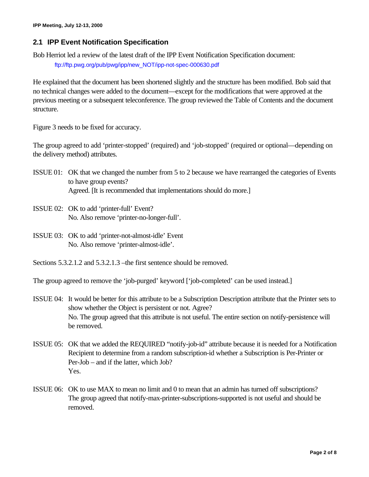# **2.1 IPP Event Notification Specification**

Bob Herriot led a review of the latest draft of the IPP Event Notification Specification document: ftp://ftp.pwg.org/pub/pwg/ipp/new\_NOT/ipp-not-spec-000630.pdf

He explained that the document has been shortened slightly and the structure has been modified. Bob said that no technical changes were added to the document—except for the modifications that were approved at the previous meeting or a subsequent teleconference. The group reviewed the Table of Contents and the document structure.

Figure 3 needs to be fixed for accuracy.

The group agreed to add 'printer-stopped' (required) and 'job-stopped' (required or optional—depending on the delivery method) attributes.

- ISSUE 01: OK that we changed the number from 5 to 2 because we have rearranged the categories of Events to have group events? Agreed. [It is recommended that implementations should do more.]
- ISSUE 02: OK to add 'printer-full' Event? No. Also remove 'printer-no-longer-full'.
- ISSUE 03: OK to add 'printer-not-almost-idle' Event No. Also remove 'printer-almost-idle'.
- Sections 5.3.2.1.2 and 5.3.2.1.3 –the first sentence should be removed.

The group agreed to remove the 'job-purged' keyword ['job-completed' can be used instead.]

- ISSUE 04: It would be better for this attribute to be a Subscription Description attribute that the Printer sets to show whether the Object is persistent or not. Agree? No. The group agreed that this attribute is not useful. The entire section on notify-persistence will be removed.
- ISSUE 05: OK that we added the REQUIRED "notify-job-id" attribute because it is needed for a Notification Recipient to determine from a random subscription-id whether a Subscription is Per-Printer or Per-Job – and if the latter, which Job? Yes.
- ISSUE 06: OK to use MAX to mean no limit and 0 to mean that an admin has turned off subscriptions? The group agreed that notify-max-printer-subscriptions-supported is not useful and should be removed.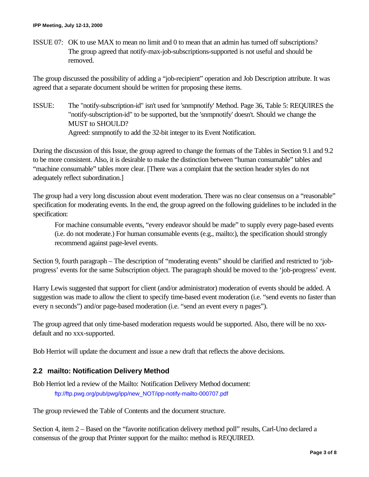ISSUE 07: OK to use MAX to mean no limit and 0 to mean that an admin has turned off subscriptions? The group agreed that notify-max-job-subscriptions-supported is not useful and should be removed.

The group discussed the possibility of adding a "job-recipient" operation and Job Description attribute. It was agreed that a separate document should be written for proposing these items.

ISSUE: The "notify-subscription-id" isn't used for 'snmpnotify' Method. Page 36, Table 5: REQUIRES the "notify-subscription-id" to be supported, but the 'snmpnotify' doesn't. Should we change the MUST to SHOULD? Agreed: snmpnotify to add the 32-bit integer to its Event Notification.

During the discussion of this Issue, the group agreed to change the formats of the Tables in Section 9.1 and 9.2 to be more consistent. Also, it is desirable to make the distinction between "human consumable" tables and "machine consumable" tables more clear. [There was a complaint that the section header styles do not adequately reflect subordination.]

The group had a very long discussion about event moderation. There was no clear consensus on a "reasonable" specification for moderating events. In the end, the group agreed on the following guidelines to be included in the specification:

For machine consumable events, "every endeavor should be made" to supply every page-based events (i.e. do not moderate.) For human consumable events (e.g., mailto:), the specification should strongly recommend against page-level events.

Section 9, fourth paragraph – The description of "moderating events" should be clarified and restricted to 'jobprogress' events for the same Subscription object. The paragraph should be moved to the 'job-progress' event.

Harry Lewis suggested that support for client (and/or administrator) moderation of events should be added. A suggestion was made to allow the client to specify time-based event moderation (i.e. "send events no faster than every n seconds") and/or page-based moderation (i.e. "send an event every n pages").

The group agreed that only time-based moderation requests would be supported. Also, there will be no xxxdefault and no xxx-supported.

Bob Herriot will update the document and issue a new draft that reflects the above decisions.

## **2.2 mailto: Notification Delivery Method**

Bob Herriot led a review of the Mailto: Notification Delivery Method document: ftp://ftp.pwg.org/pub/pwg/ipp/new\_NOT/ipp-notify-mailto-000707.pdf

The group reviewed the Table of Contents and the document structure.

Section 4, item 2 – Based on the "favorite notification delivery method poll" results, Carl-Uno declared a consensus of the group that Printer support for the mailto: method is REQUIRED.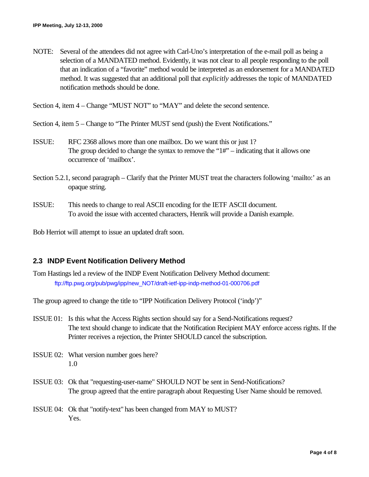NOTE: Several of the attendees did not agree with Carl-Uno's interpretation of the e-mail poll as being a selection of a MANDATED method. Evidently, it was not clear to all people responding to the poll that an indication of a "favorite" method would be interpreted as an endorsement for a MANDATED method. It was suggested that an additional poll that *explicitly* addresses the topic of MANDATED notification methods should be done.

Section 4, item 4 – Change "MUST NOT" to "MAY" and delete the second sentence.

- Section 4, item 5 Change to "The Printer MUST send (push) the Event Notifications."
- ISSUE: RFC 2368 allows more than one mailbox. Do we want this or just 1? The group decided to change the syntax to remove the " $1#$ " – indicating that it allows one occurrence of 'mailbox'.
- Section 5.2.1, second paragraph Clarify that the Printer MUST treat the characters following 'mailto:' as an opaque string.
- ISSUE: This needs to change to real ASCII encoding for the IETF ASCII document. To avoid the issue with accented characters, Henrik will provide a Danish example.

Bob Herriot will attempt to issue an updated draft soon.

## **2.3 INDP Event Notification Delivery Method**

Tom Hastings led a review of the INDP Event Notification Delivery Method document: ftp://ftp.pwg.org/pub/pwg/ipp/new\_NOT/draft-ietf-ipp-indp-method-01-000706.pdf

The group agreed to change the title to "IPP Notification Delivery Protocol ('indp')"

- ISSUE 01: Is this what the Access Rights section should say for a Send-Notifications request? The text should change to indicate that the Notification Recipient MAY enforce access rights. If the Printer receives a rejection, the Printer SHOULD cancel the subscription.
- ISSUE 02: What version number goes here? 1.0
- ISSUE 03: Ok that "requesting-user-name" SHOULD NOT be sent in Send-Notifications? The group agreed that the entire paragraph about Requesting User Name should be removed.
- ISSUE 04: Ok that "notify-text" has been changed from MAY to MUST? Yes.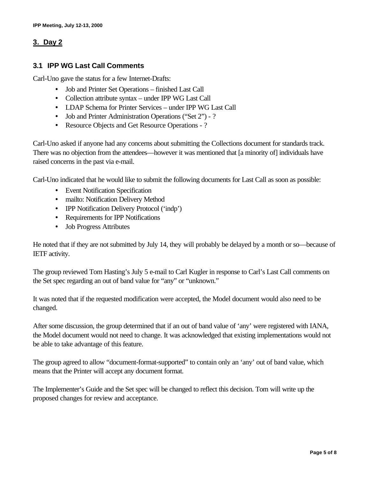# **3. Day 2**

## **3.1 IPP WG Last Call Comments**

Carl-Uno gave the status for a few Internet-Drafts:

- Job and Printer Set Operations finished Last Call
- Collection attribute syntax under IPP WG Last Call
- LDAP Schema for Printer Services under IPP WG Last Call
- Job and Printer Administration Operations ("Set 2") ?
- Resource Objects and Get Resource Operations ?

Carl-Uno asked if anyone had any concerns about submitting the Collections document for standards track. There was no objection from the attendees—however it was mentioned that [a minority of] individuals have raised concerns in the past via e-mail.

Carl-Uno indicated that he would like to submit the following documents for Last Call as soon as possible:

- Event Notification Specification
- mailto: Notification Delivery Method
- IPP Notification Delivery Protocol ('indp')
- Requirements for IPP Notifications
- Job Progress Attributes

He noted that if they are not submitted by July 14, they will probably be delayed by a month or so—because of IETF activity.

The group reviewed Tom Hasting's July 5 e-mail to Carl Kugler in response to Carl's Last Call comments on the Set spec regarding an out of band value for "any" or "unknown."

It was noted that if the requested modification were accepted, the Model document would also need to be changed.

After some discussion, the group determined that if an out of band value of 'any' were registered with IANA, the Model document would not need to change. It was acknowledged that existing implementations would not be able to take advantage of this feature.

The group agreed to allow "document-format-supported" to contain only an 'any' out of band value, which means that the Printer will accept any document format.

The Implementer's Guide and the Set spec will be changed to reflect this decision. Tom will write up the proposed changes for review and acceptance.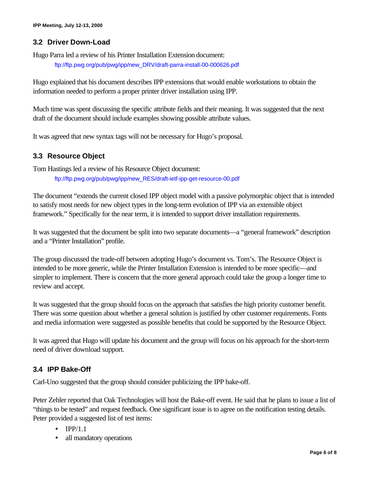## **3.2 Driver Down-Load**

Hugo Parra led a review of his Printer Installation Extension document:

ftp://ftp.pwg.org/pub/pwg/ipp/new\_DRV/draft-parra-install-00-000626.pdf

Hugo explained that his document describes IPP extensions that would enable workstations to obtain the information needed to perform a proper printer driver installation using IPP.

Much time was spent discussing the specific attribute fields and their meaning. It was suggested that the next draft of the document should include examples showing possible attribute values.

It was agreed that new syntax tags will not be necessary for Hugo's proposal.

# **3.3 Resource Object**

Tom Hastings led a review of his Resource Object document: ftp://ftp.pwg.org/pub/pwg/ipp/new\_RES/draft-ietf-ipp-get-resource-00.pdf

The document "extends the current closed IPP object model with a passive polymorphic object that is intended to satisfy most needs for new object types in the long-term evolution of IPP via an extensible object framework." Specifically for the near term, it is intended to support driver installation requirements.

It was suggested that the document be split into two separate documents—a "general framework" description and a "Printer Installation" profile.

The group discussed the trade-off between adopting Hugo's document vs. Tom's. The Resource Object is intended to be more generic, while the Printer Installation Extension is intended to be more specific—and simpler to implement. There is concern that the more general approach could take the group a longer time to review and accept.

It was suggested that the group should focus on the approach that satisfies the high priority customer benefit. There was some question about whether a general solution is justified by other customer requirements. Fonts and media information were suggested as possible benefits that could be supported by the Resource Object.

It was agreed that Hugo will update his document and the group will focus on his approach for the short-term need of driver download support.

# **3.4 IPP Bake-Off**

Carl-Uno suggested that the group should consider publicizing the IPP bake-off.

Peter Zehler reported that Oak Technologies will host the Bake-off event. He said that he plans to issue a list of "things to be tested" and request feedback. One significant issue is to agree on the notification testing details. Peter provided a suggested list of test items:

- $\bullet$  IPP/1.1
- all mandatory operations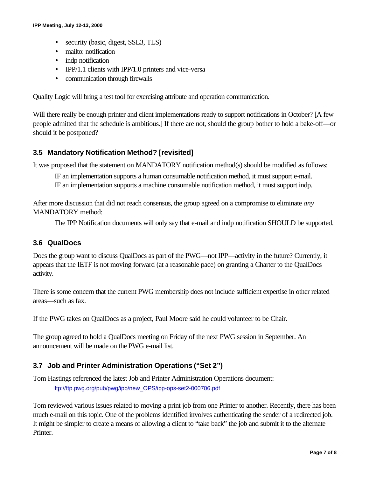- security (basic, digest, SSL3, TLS)
- mailto: notification
- indp notification
- IPP/1.1 clients with IPP/1.0 printers and vice-versa
- communication through firewalls

Quality Logic will bring a test tool for exercising attribute and operation communication.

Will there really be enough printer and client implementations ready to support notifications in October? [A few people admitted that the schedule is ambitious.] If there are not, should the group bother to hold a bake-off—or should it be postponed?

## **3.5 Mandatory Notification Method? [revisited]**

It was proposed that the statement on MANDATORY notification method(s) should be modified as follows:

IF an implementation supports a human consumable notification method, it must support e-mail. IF an implementation supports a machine consumable notification method, it must support indp.

After more discussion that did not reach consensus, the group agreed on a compromise to eliminate *any* MANDATORY method:

The IPP Notification documents will only say that e-mail and indp notification SHOULD be supported.

## **3.6 QualDocs**

Does the group want to discuss QualDocs as part of the PWG—not IPP—activity in the future? Currently, it appears that the IETF is not moving forward (at a reasonable pace) on granting a Charter to the QualDocs activity.

There is some concern that the current PWG membership does not include sufficient expertise in other related areas—such as fax.

If the PWG takes on QualDocs as a project, Paul Moore said he could volunteer to be Chair.

The group agreed to hold a QualDocs meeting on Friday of the next PWG session in September. An announcement will be made on the PWG e-mail list.

## **3.7 Job and Printer Administration Operations ("Set 2")**

Tom Hastings referenced the latest Job and Printer Administration Operations document: ftp://ftp.pwg.org/pub/pwg/ipp/new\_OPS/ipp-ops-set2-000706.pdf

Tom reviewed various issues related to moving a print job from one Printer to another. Recently, there has been much e-mail on this topic. One of the problems identified involves authenticating the sender of a redirected job. It might be simpler to create a means of allowing a client to "take back" the job and submit it to the alternate Printer.